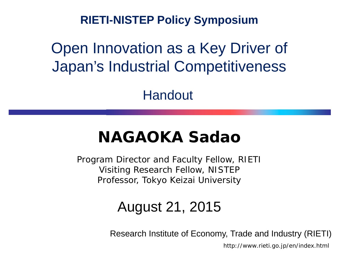**RIETI-NISTEP Policy Symposium**

## Open Innovation as a Key Driver of Japan's Industrial Competitiveness

Handout

## **NAGAOKA Sadao**

Program Director and Faculty Fellow, RIETI Visiting Research Fellow, NISTEP Professor, Tokyo Keizai University

### August 21, 2015

Research Institute of Economy, Trade and Industry (RIETI)

http://www.rieti.go.jp/en/index.html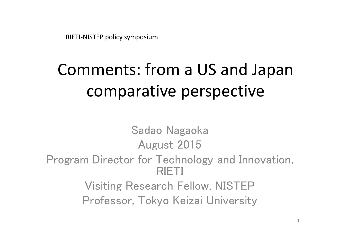RIETI‐NISTEP policy symposium

# Comments: from <sup>a</sup> US and Japan comparative perspective

Sadao Nagaoka August 2015 Program Director for Technology and Innovation, RIETI Visiting Research Fellow, NISTEP Professor, Tokyo Keizai University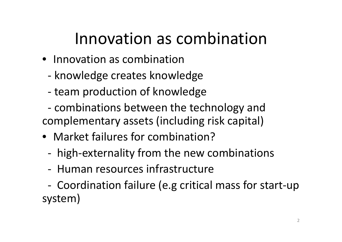# Innovation as combination

- Innovation as combination
	- ‐- knowledge creates knowledge
	- ‐ team production of knowledge
- ‐ combinations between the technology and complementary assets (including risk capital)
- Market failures for combination?
	- ‐high‐externality from the new combinations
	- ‐ Human resources infrastructure
- ‐ Coordination failure (e.g critical mass for start‐up system)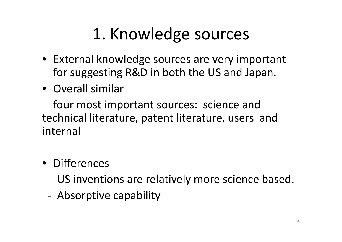# 1. Knowledge sources

- External knowledge sources are very important for suggesting R&D in both the US and Japan.
- Overall similar

four most important sources: science and technical literature, patent literature, users and internal

- Differences
	- ‐ US inventions are relatively more science based.
	- ‐Absorptive capability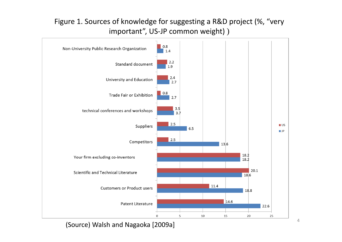#### Figure 1. Sources of knowledge for suggesting <sup>a</sup> R&D project (%, "very important", US-JP common weight) )

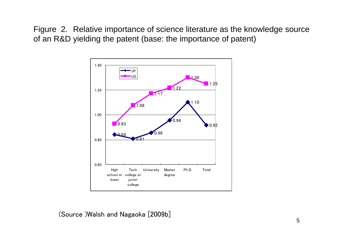Figure 2. Relative importance of science literature as the knowledge source of an R&D yielding the patent (base: the importance of patent)

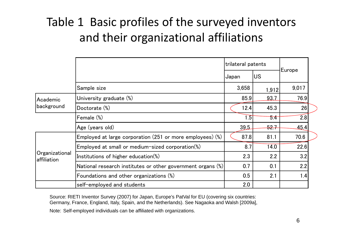## Table 1 Basic profiles of the surveyed inventors and their organizational affiliations

|                               |                                                             | trilateral patents | Europe |       |
|-------------------------------|-------------------------------------------------------------|--------------------|--------|-------|
|                               |                                                             | Japan              |        |       |
|                               | Sample size                                                 | 3,658              | 1,912  | 9,017 |
| Academic<br>background        | University graduate (%)                                     | 85.9               | 93.7   | 76.9  |
|                               | Doctorate (%)                                               | 12.4               | 45.3   | 26    |
|                               | Female (%)                                                  | 1.5                | 5.4    | 2.8   |
|                               | Age (years old)                                             | 39.5               | 52.7   | 45.4  |
| Organizational<br>affiliation | Employed at large corporation (251 or more employees) (%)   | 87.8               | 81.1   | 70.6  |
|                               | Employed at small or medium-sized corporation(%)            | 8.7                | 14.0   | 22.6  |
|                               | Institutions of higher education(%)                         | 2.3                | 2.2    | 3.2   |
|                               | National research institutes or other government organs (%) | 0.7                | 0.1    | 2.2   |
|                               | Foundations and other organizations (%)                     | 0.5                | 2.1    | 1.4   |
|                               | self-employed and students                                  | 2.0                |        |       |

Source: RIETI Inventor Survey (2007) for Japan, Europe's PatVal for EU (covering six countries: Germany, France, England, Italy, Spain, and the Netherlands). See Nagaoka and Walsh [2009a],

Note: Self-employed individuals can be affiliated with organizations.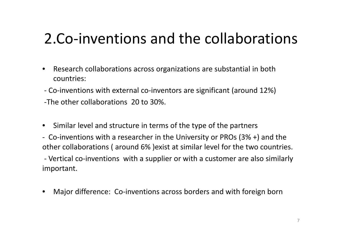## 2.Co‐inventions and the collaborations

- $\bullet$  Research collaborations across organizations are substantial in both countries:
- ‐ Co‐inventions with external co‐inventors are significant (around 12%) ‐The other collaborations 20 to 30%.
- Similar level and structure in terms of the type of the partners
- ‐ Co‐inventions with <sup>a</sup> researcher in the University or PROs (3% +) and the other collaborations ( around 6% )exist at similar level for the two countries.

‐ Vertical co‐inventions with <sup>a</sup> supplier or with <sup>a</sup> customer are also similarly important.

•Major difference: Co-inventions across borders and with foreign born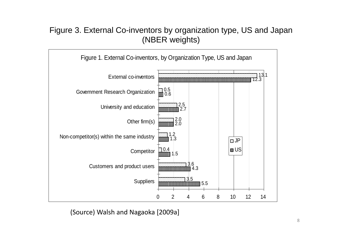#### Figure 3. External Co-inventors by organization type, US and Japan (NBER weights)

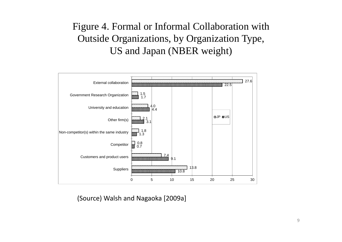### Figure 4. Formal or Informal Collaboration with Outside Organizations, by Organization Type, US and Japan (NBER weight)

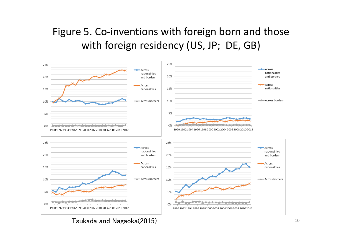### Figure 5. Co-inventions with foreign born and those with foreign residency (US, JP; DE, GB)



Tsukada and Nagaoka(2015) 10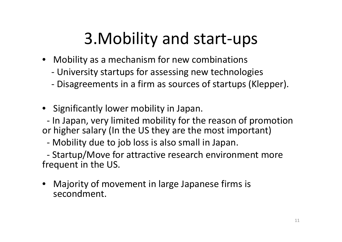# 3.Mobility and start‐ups

- Mobility as <sup>a</sup> mechanism for new combinations
	- ‐University startups for assessing new technologies
	- ‐Disagreements in <sup>a</sup> firm as sources of startups (Klepper).
- Significantly lower mobility in Japan.

‐ In Japan, very limited mobility for the reason of promotion or higher salary (In the US they are the most important)

‐Mobility due to job loss is also small in Japan.

‐ Startup/Move for attractive research environment more frequent in the US.

• Majority of movement in large Japanese firms is secondment.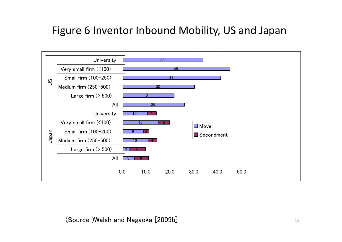### Figure 6 Inventor Inbound Mobility, US and Japan

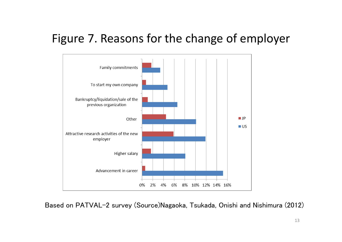### Figure 7. Reasons for the change of employer



Based on PATVAL-2 survey (Source)Nagaoka, Tsukada, Onishi and Nishimura (2012)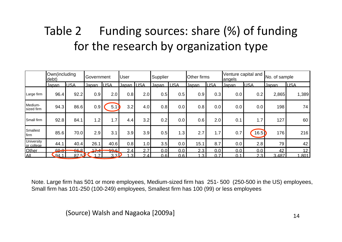## Table 2 Funding sources: share (%) of funding for the research by organization type

|                                 | Own(including<br>debt) |                             | Government<br><b>User</b> |             |                   | Supplier |       | <b>Other firms</b> |       | Venture capital and<br>angels |              | No. of sample    |              |                 |
|---------------------------------|------------------------|-----------------------------|---------------------------|-------------|-------------------|----------|-------|--------------------|-------|-------------------------------|--------------|------------------|--------------|-----------------|
|                                 | Japan                  | <b>USA</b>                  | <u>Japan</u>              | <b>LUSA</b> | <u>Japan IUSA</u> |          | Japan | <b>USA</b>         | Japan | <b>USA</b>                    | <u>Japan</u> | <b>USA</b>       | <u>Japan</u> | <b>IUSA</b>     |
| Large firm                      | 96.4                   | 92.2                        | 0.9                       | 2.0         | 0.8               | 2.0      | 0.5   | 0.5                | 0.9   | 0.3                           | 0.0          | 0.2              | 2,865        | 1,389           |
| Medium-<br>sized firm           | 94.3                   | 86.6                        | 0.9                       | 5.1         | 3.2               | 4.0      | 0.8   | 0.0                | 0.8   | 0.0                           | 0.0          | 0.0              | 198          | 74              |
| Small firm                      | 92.8                   | 84.1                        | 1.2                       | 1.7         | 4.4               | 3.2      | 0.2   | 0.0                | 0.6   | 2.0                           | 0.1          | 1.7              | 127          | 60              |
| Smallest<br><b>Ifirm</b>        | 85.6                   | 70.0                        | 2.9                       | 3.1         | 3.9               | 3.9      | 0.5   | 1.3                | 2.7   | 1.7                           | 0.7          | 16.5             | 176          | 216             |
| <b>University</b><br>or college | 44.1                   | 40.4                        | 26.1                      | 40.6        | 0.8               | 1.0      | 3.5   | 0.0                | 15.1  | 8.7                           | $0.0\,$      | 2.8              | 79           | 42              |
| Other                           | ൶൶<br>$-0.01$          | <u>oo</u> o<br>$\mathbf{u}$ | $17 - 4$                  | 196         | 2.4               | 2.7      | 0.0   | 0.0                | 2.3   | 0.0                           | 0.0          | 0.0              | 42           | 12 <sup>2</sup> |
| AII                             | 94.1                   | 87.5                        | $\overline{7}$            | 3.3         | .3I               | າ<br>.4  | 0.6   | 0.6                | 3     | 0.7                           | 0.1          | 2.3 <sub>1</sub> | 3.487        | .801            |

Note. Large firm has 501 or more employees, Medium-sized firm has 251- 500 (250-500 in the US) employees, Small firm has 101-250 (100-249) employees, Smallest firm has 100 (99) or less employees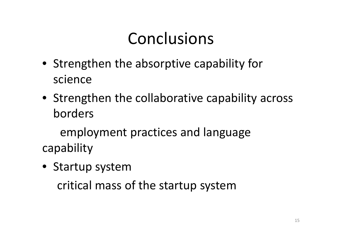# Conclusions

- Strengthen the absorptive capability for science
- Strengthen the collaborative capability across borders

employment practices and language capability

• Startup system

critical mass of the startup system